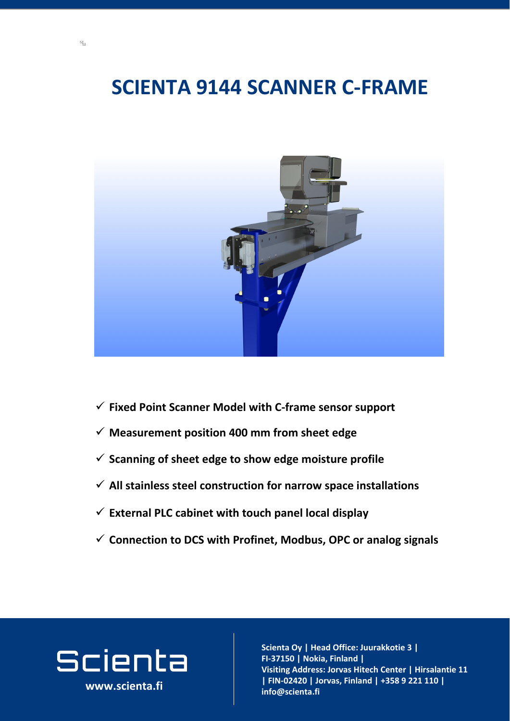### **SCIENTA 9144 SCANNER C-FRAME**



**www.scienta.fi**

#### ✓ **Fixed Point Scanner Model with C-frame sensor support**

**Visiting and address and a**<br>International and address and a **Joria, Fillianu |**<br>Jorian - Center adress: Jorva **02420 Jorvas, Finland | FIN-02420 | Jorvas, Finland | +358 9 221 110 |**   $\mathbf{info@}$ scienta.fi **Scienta Oy | Head Office: Juurakkotie 3 | FI-37150 | Nokia, Finland | Visiting Address: Jorvas Hitech Center | Hirsalantie 11 info@scienta.fi www.scienta.fi**

- ✓ **Measurement position 400 mm from sheet edge**
- ✓ **Scanning of sheet edge to show edge moisture profile**
- ✓ **All stainless steel construction for narrow space installations**
- ✓ **External PLC cabinet with touch panel local display**
- ✓ **Connection to DCS with Profinet, Modbus, OPC or analog signals**

# Scienta

 $\mathbb{Z}$